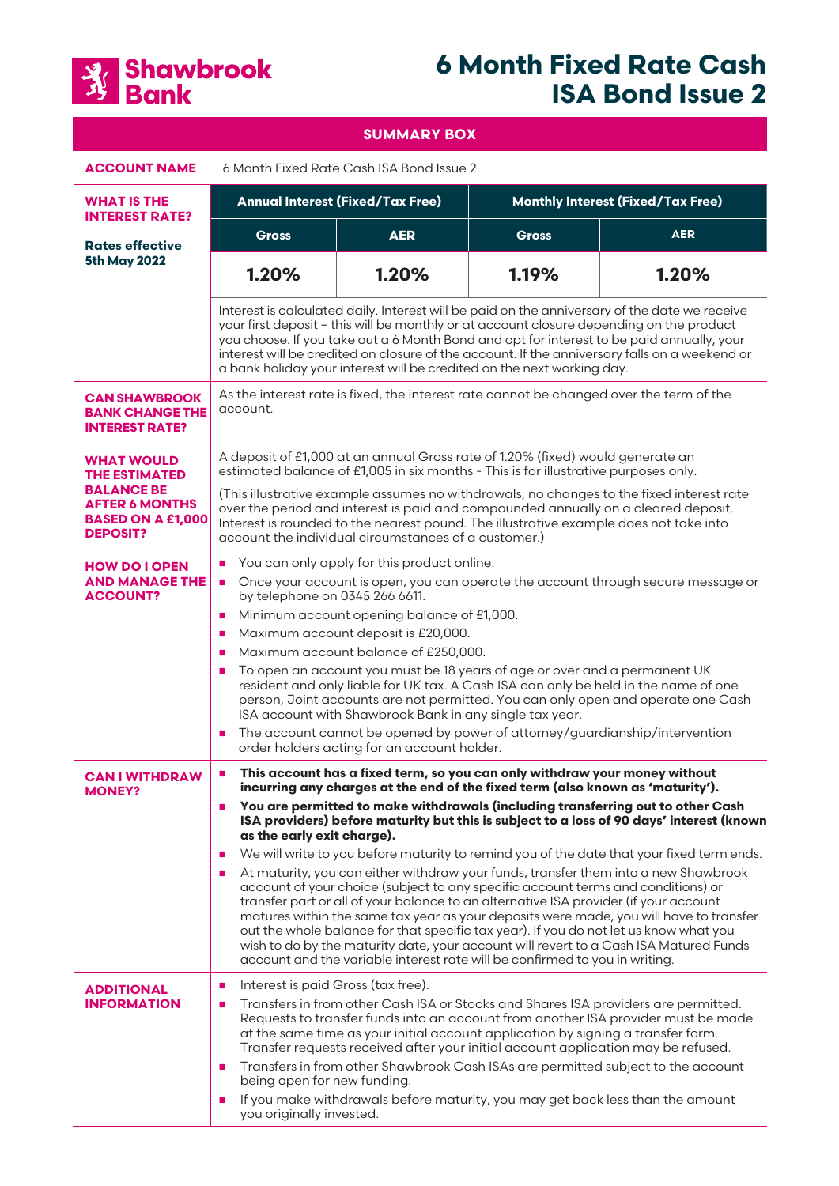

# **6 Month Fixed Rate Cash ISA Bond Issue 2**

**SUMMARY BOX ACCOUNT NAME** 6 Month Fixed Rate Cash ISA Bond Issue 2 **WHAT IS THE INTEREST RATE? Rates effective 5th May 2022 Annual Interest (Fixed/Tax Free) Monthly Interest (Fixed/Tax Free) Gross AER Gross AER 1.20% 1.20% 1.19% 1.20%** Interest is calculated daily. Interest will be paid on the anniversary of the date we receive your first deposit – this will be monthly or at account closure depending on the product you choose. If you take out a 6 Month Bond and opt for interest to be paid annually, your interest will be credited on closure of the account. If the anniversary falls on a weekend or a bank holiday your interest will be credited on the next working day. **CAN SHAWBROOK BANK CHANGE THE INTEREST RATE?** As the interest rate is fixed, the interest rate cannot be changed over the term of the account. **WHAT WOULD THE ESTIMATED BALANCE BE AFTER 6 MONTHS BASED ON A £1,000 DEPOSIT?** A deposit of £1,000 at an annual Gross rate of 1.20% (fixed) would generate an estimated balance of £1,005 in six months - This is for illustrative purposes only. (This illustrative example assumes no withdrawals, no changes to the fixed interest rate over the period and interest is paid and compounded annually on a cleared deposit. Interest is rounded to the nearest pound. The illustrative example does not take into account the individual circumstances of a customer.) **HOW DO I OPEN AND MANAGE THE ACCOUNT?** You can only apply for this product online. ■ Once your account is open, you can operate the account through secure message or by telephone on 0345 266 6611. ■ Minimum account opening balance of £1,000. ■ Maximum account deposit is £20,000. ■ Maximum account balance of £250,000. ■ To open an account you must be 18 years of age or over and a permanent UK resident and only liable for UK tax. A Cash ISA can only be held in the name of one person, Joint accounts are not permitted. You can only open and operate one Cash ISA account with Shawbrook Bank in any single tax year. ■ The account cannot be opened by power of attorney/guardianship/intervention order holders acting for an account holder. **CAN I WITHDRAW MONEY?** � **This account has a fixed term, so you can only withdraw your money without incurring any charges at the end of the fixed term (also known as 'maturity').**  � **You are permitted to make withdrawals (including transferring out to other Cash ISA providers) before maturity but this is subject to a loss of 90 days' interest (known as the early exit charge).**  We will write to you before maturity to remind you of the date that your fixed term ends. **At maturity, you can either withdraw your funds, transfer them into a new Shawbrook** account of your choice (subject to any specific account terms and conditions) or transfer part or all of your balance to an alternative ISA provider (if your account matures within the same tax year as your deposits were made, you will have to transfer out the whole balance for that specific tax year). If you do not let us know what you wish to do by the maturity date, your account will revert to a Cash ISA Matured Funds account and the variable interest rate will be confirmed to you in writing. **ADDITIONAL INFORMATION n** Interest is paid Gross (tax free). � Transfers in from other Cash ISA or Stocks and Shares ISA providers are permitted. Requests to transfer funds into an account from another ISA provider must be made at the same time as your initial account application by signing a transfer form. Transfer requests received after your initial account application may be refused. **Transfers in from other Shawbrook Cash ISAs are permitted subject to the account** being open for new funding. If you make withdrawals before maturity, you may get back less than the amount

you originally invested.